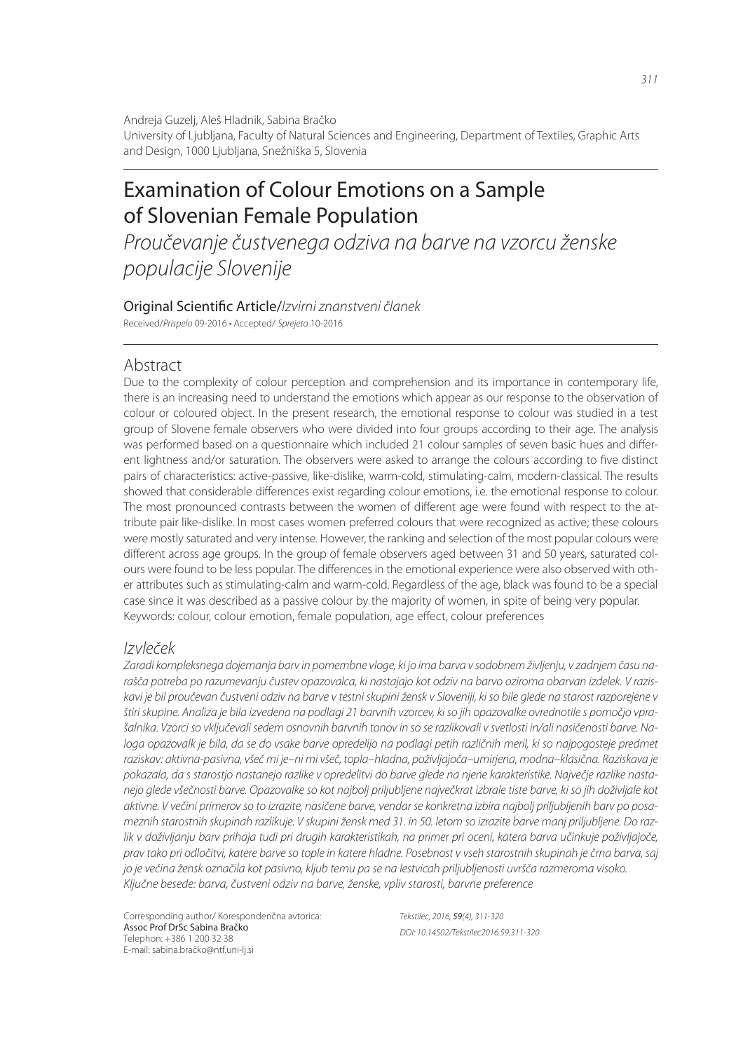Andreja Guzelj, Aleš Hladnik, Sabina Bračko University of Ljubljana, Faculty of Natural Sciences and Engineering, Department of Textiles, Graphic Arts and Design, 1000 Ljubljana, Snežniška 5, Slovenia

# Examination of Colour Emotions on a Sample of Slovenian Female Population

*Proučevanje čustvenega odziva na barve na vzorcu ženske populacije Slovenije*

Original Scienti! c Article/*Izvirni znanstveni članek* Received/*Prispelo* 09-2016 • Accepted/ *Sprejeto* 10-2016

#### Abstract

Due to the complexity of colour perception and comprehension and its importance in contemporary life, there is an increasing need to understand the emotions which appear as our response to the observation of colour or coloured object. In the present research, the emotional response to colour was studied in a test group of Slovene female observers who were divided into four groups according to their age. The analysis was performed based on a questionnaire which included 21 colour samples of seven basic hues and different lightness and/or saturation. The observers were asked to arrange the colours according to five distinct pairs of characteristics: active-passive, like-dislike, warm-cold, stimulating-calm, modern-classical. The results showed that considerable differences exist regarding colour emotions, i.e. the emotional response to colour. The most pronounced contrasts between the women of different age were found with respect to the attribute pair like-dislike. In most cases women preferred colours that were recognized as active; these colours were mostly saturated and very intense. However, the ranking and selection of the most popular colours were different across age groups. In the group of female observers aged between 31 and 50 years, saturated colours were found to be less popular. The differences in the emotional experience were also observed with other attributes such as stimulating-calm and warm-cold. Regardless of the age, black was found to be a special case since it was described as a passive colour by the majority of women, in spite of being very popular. Keywords: colour, colour emotion, female population, age effect, colour preferences

#### *Izvleček*

*Zaradi kompleksnega dojemanja barv in pomembne vloge, ki jo ima barva v sodobnem življenju, v zadnjem času narašča potreba po razumevanju čustev opazovalca, ki nastajajo kot odziv na barvo oziroma obarvan izdelek. V raziskavi je bil proučevan čustveni odziv na barve v testni skupini žensk v Sloveniji, ki so bile glede na starost razporejene v štiri skupine. Analiza je bila izvedena na podlagi 21 barvnih vzorcev, ki so jih opazovalke ovrednotile s pomočjo vprašalnika. Vzorci so vključevali sedem osnovnih barvnih tonov in so se razlikovali v svetlosti in/ali nasičenosti barve. Na*loga opazovalk je bila, da se do vsake barve opredelijo na podlagi petih različnih meril, ki so najpogosteje predmet *raziskav: aktivna-pasivna, všeč mi je–ni mi všeč, topla–hladna, poživljajoča–umirjena, modna–klasična. Raziskava je pokazala, da s starostjo nastanejo razlike v opredelitvi do barve glede na njene karakteristike. Največje razlike nastanejo glede všečnosti barve. Opazovalke so kot najbolj priljubljene največkrat izbrale tiste barve, ki so jih doživljale kot aktivne. V večini primerov so to izrazite, nasičene barve, vendar se konkretna izbira najbolj priljubljenih barv po posameznih starostnih skupinah razlikuje. V skupini žensk med 31. in 50. letom so izrazite barve manj priljubljene. Do razlik v doživljanju barv prihaja tudi pri drugih karakteristikah, na primer pri oceni, katera barva učinkuje poživljajoče, prav tako pri odločitvi, katere barve so tople in katere hladne. Posebnost v vseh starostnih skupinah je črna barva, saj jo je večina žensk označila kot pasivno, kljub temu pa se na lestvicah priljubljenosti uvršča razmeroma visoko. Ključne besede: barva, čustveni odziv na barve, ženske, vpliv starosti, barvne preference*

Corresponding author/ Korespondenčna avtorica: Assoc Prof DrSc Sabina Bračko Telephon: +386 1 200 32 38 E-mail: sabina.bračko@ntf.uni-lj.si

*Tekstilec, 2016,* 59*(4), 311-320 DOI: 10.14502/Tekstilec2016.59.311-320*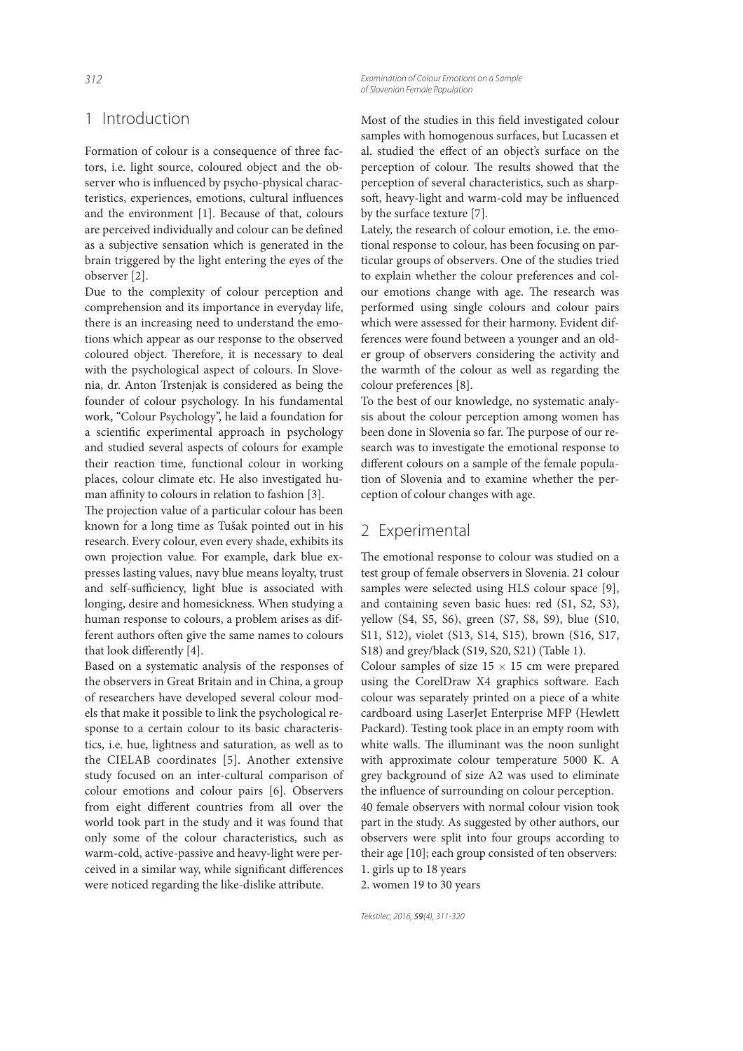## 1 Introduction

Formation of colour is a consequence of three factors, i.e. light source, coloured object and the observer who is influenced by psycho-physical characteristics, experiences, emotions, cultural influences and the environment [1]. Because of that, colours are perceived individually and colour can be defined as a subjective sensation which is generated in the brain triggered by the light entering the eyes of the observer [2].

Due to the complexity of colour perception and comprehension and its importance in everyday life, there is an increasing need to understand the emotions which appear as our response to the observed coloured object. Therefore, it is necessary to deal with the psychological aspect of colours. In Slovenia, dr. Anton Trstenjak is considered as being the founder of colour psychology. In his fundamental work, "Colour Psychology", he laid a foundation for a scientific experimental approach in psychology and studied several aspects of colours for example their reaction time, functional colour in working places, colour climate etc. He also investigated human affinity to colours in relation to fashion  $[3]$ .

The projection value of a particular colour has been known for a long time as Tušak pointed out in his research. Every colour, even every shade, exhibits its own projection value. For example, dark blue expresses lasting values, navy blue means loyalty, trust and self-sufficiency, light blue is associated with longing, desire and homesickness. When studying a human response to colours, a problem arises as different authors often give the same names to colours that look differently [4].

Based on a systematic analysis of the responses of the observers in Great Britain and in China, a group of researchers have developed several colour models that make it possible to link the psychological response to a certain colour to its basic characteristics, i.e. hue, lightness and saturation, as well as to the CIELAB coordinates [5]. Another extensive study focused on an inter-cultural comparison of colour emotions and colour pairs [6]. Observers from eight different countries from all over the world took part in the study and it was found that only some of the colour characteristics, such as warm-cold, active-passive and heavy-light were perceived in a similar way, while significant differences were noticed regarding the like-dislike attribute.

*312 Examination of Colour Emotions on a Sample of Slovenian Female Population*

> Most of the studies in this field investigated colour samples with homogenous surfaces, but Lucassen et al. studied the effect of an object's surface on the perception of colour. The results showed that the perception of several characteristics, such as sharpsoft, heavy-light and warm-cold may be influenced by the surface texture [7].

> Lately, the research of colour emotion, i.e. the emotional response to colour, has been focusing on particular groups of observers. One of the studies tried to explain whether the colour preferences and colour emotions change with age. The research was performed using single colours and colour pairs which were assessed for their harmony. Evident differences were found between a younger and an older group of observers considering the activity and the warmth of the colour as well as regarding the colour preferences [8].

> To the best of our knowledge, no systematic analysis about the colour perception among women has been done in Slovenia so far. The purpose of our research was to investigate the emotional response to different colours on a sample of the female population of Slovenia and to examine whether the perception of colour changes with age.

#### 2 Experimental

The emotional response to colour was studied on a test group of female observers in Slovenia. 21 colour samples were selected using HLS colour space [9], and containing seven basic hues: red (S1, S2, S3), yellow (S4, S5, S6), green (S7, S8, S9), blue (S10, S11, S12), violet (S13, S14, S15), brown (S16, S17, S18) and grey/black (S19, S20, S21) (Table 1).

Colour samples of size  $15 \times 15$  cm were prepared using the CorelDraw X4 graphics software. Each colour was separately printed on a piece of a white cardboard using LaserJet Enterprise MFP (Hewlett Packard). Testing took place in an empty room with white walls. The illuminant was the noon sunlight with approximate colour temperature 5000 K. A grey background of size A2 was used to eliminate the influence of surrounding on colour perception. 40 female observers with normal colour vision took part in the study. As suggested by other authors, our observers were split into four groups according to their age [10]; each group consisted of ten observers: 1. girls up to 18 years

2. women 19 to 30 years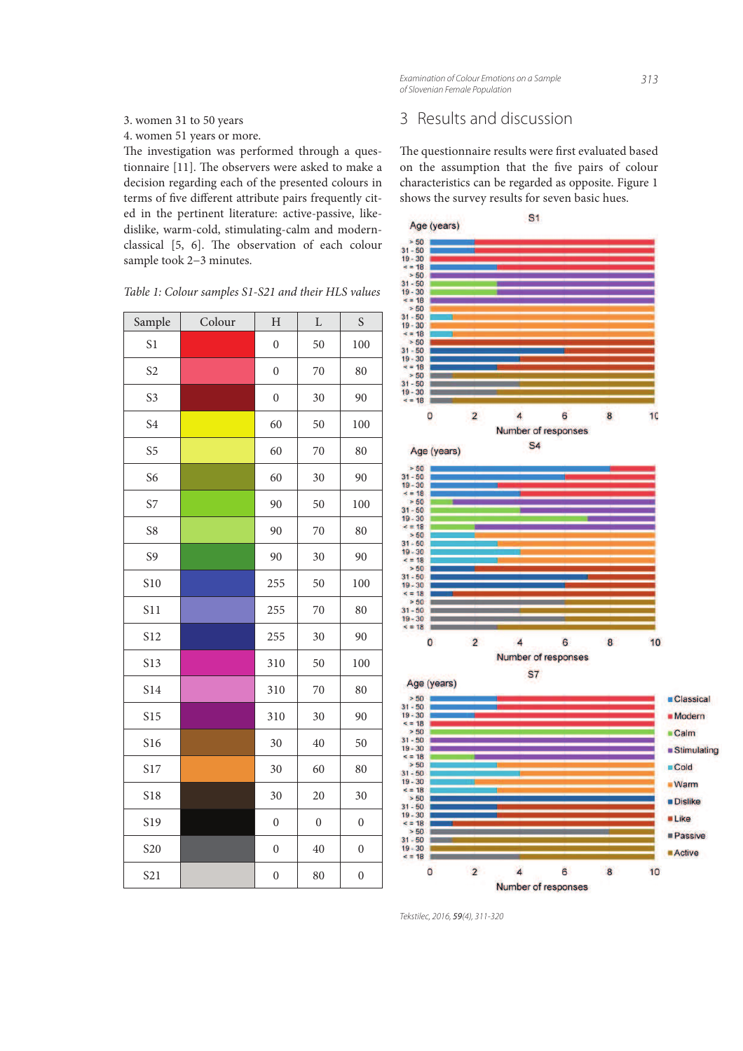*Examination of Colour Emotions on a Sample 313 of Slovenian Female Population*

#### 3. women 31 to 50 years

4. women 51 years or more.

The investigation was performed through a questionnaire [11]. The observers were asked to make a decision regarding each of the presented colours in terms of five different attribute pairs frequently cited in the pertinent literature: active-passive, likedislike, warm-cold, stimulating-calm and modernclassical  $[5, 6]$ . The observation of each colour sample took 2−3 minutes.

| Table 1: Colour samples S1-S21 and their HLS values |  |  |  |  |  |  |  |  |
|-----------------------------------------------------|--|--|--|--|--|--|--|--|
|-----------------------------------------------------|--|--|--|--|--|--|--|--|

| Sample          | Colour | $H_{\rm}$        | L                | S                |
|-----------------|--------|------------------|------------------|------------------|
| S <sub>1</sub>  |        | $\overline{0}$   | 50               | 100              |
| S <sub>2</sub>  |        | $\boldsymbol{0}$ | 70               | 80               |
| S <sub>3</sub>  |        | $\boldsymbol{0}$ | 30               | 90               |
| S <sub>4</sub>  |        | 60               | 50               | 100              |
| S <sub>5</sub>  |        | 60               | 70               | 80               |
| S <sub>6</sub>  |        | 60               | 30               | 90               |
| S7              |        | 90               | 50               | 100              |
| S8              |        | 90               | 70               | 80               |
| S <sub>9</sub>  |        | 90               | 30               | 90               |
| S10             |        | 255              | 50               | 100              |
| S11             |        | 255              | 70               | 80               |
| S12             |        | 255              | 30               | 90               |
| S13             |        | 310              | 50               | 100              |
| S14             |        | 310              | 70               | 80               |
| <b>S15</b>      |        | 310              | 30               | 90               |
| S16             |        | 30               | 40               | 50               |
| S17             |        | 30               | 60               | 80               |
| <b>S18</b>      |        | 30               | 20               | 30               |
| S19             |        | $\boldsymbol{0}$ | $\boldsymbol{0}$ | $\boldsymbol{0}$ |
| S20             |        | $\boldsymbol{0}$ | $40\,$           | $\boldsymbol{0}$ |
| S <sub>21</sub> |        | $\overline{0}$   | 80               | $\overline{0}$   |

# 3 Results and discussion

The questionnaire results were first evaluated based on the assumption that the five pairs of colour characteristics can be regarded as opposite. Figure 1 shows the survey results for seven basic hues.

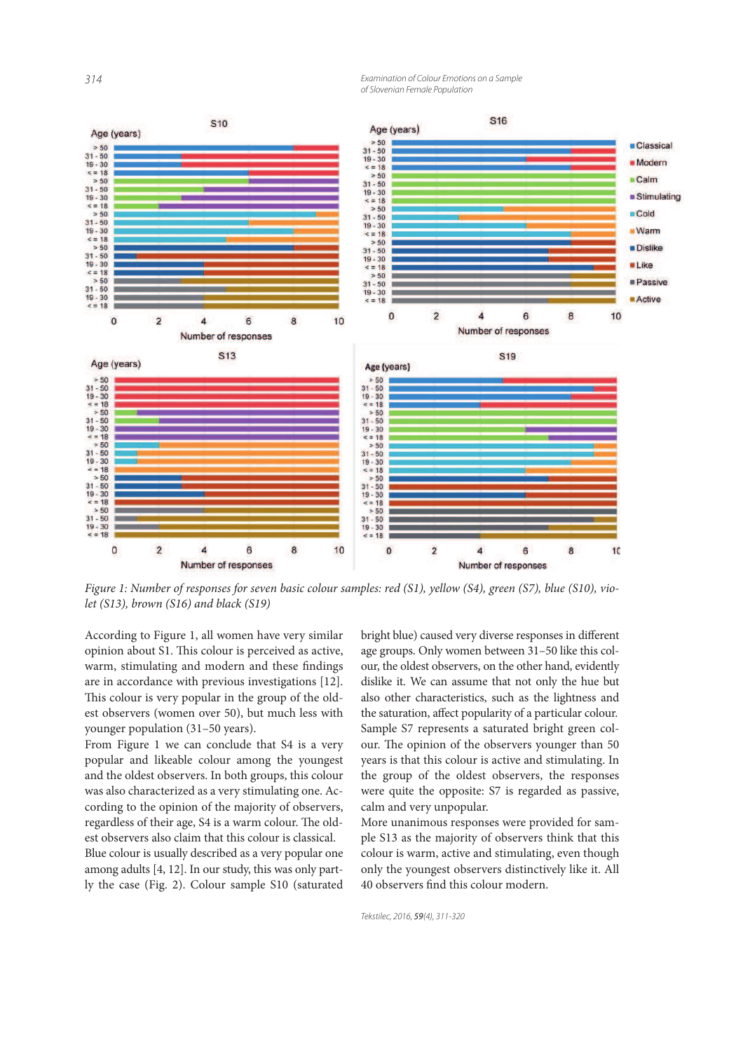*314 Examination of Colour Emotions on a Sample of Slovenian Female Population*



Figure 1: Number of responses for seven basic colour samples: red (S1), yellow (S4), green (S7), blue (S10), violet (S13), brown (S16) and black (S19)

According to Figure 1, all women have very similar opinion about S1. This colour is perceived as active, warm, stimulating and modern and these findings are in accordance with previous investigations [12]. This colour is very popular in the group of the oldest observers (women over 50), but much less with younger population (31–50 years).

From Figure 1 we can conclude that S4 is a very popular and likeable colour among the youngest and the oldest observers. In both groups, this colour was also characterized as a very stimulating one. According to the opinion of the majority of observers, regardless of their age, S4 is a warm colour. The oldest observers also claim that this colour is classical.

Blue colour is usually described as a very popular one among adults [4, 12]. In our study, this was only partly the case (Fig. 2). Colour sample S10 (saturated

bright blue) caused very diverse responses in different age groups. Only women between 31–50 like this colour, the oldest observers, on the other hand, evidently dislike it. We can assume that not only the hue but also other characteristics, such as the lightness and the saturation, affect popularity of a particular colour. Sample S7 represents a saturated bright green colour. The opinion of the observers younger than 50 years is that this colour is active and stimulating. In the group of the oldest observers, the responses were quite the opposite: S7 is regarded as passive, calm and very unpopular.

More unanimous responses were provided for sample S13 as the majority of observers think that this colour is warm, active and stimulating, even though only the youngest observers distinctively like it. All 40 observers find this colour modern.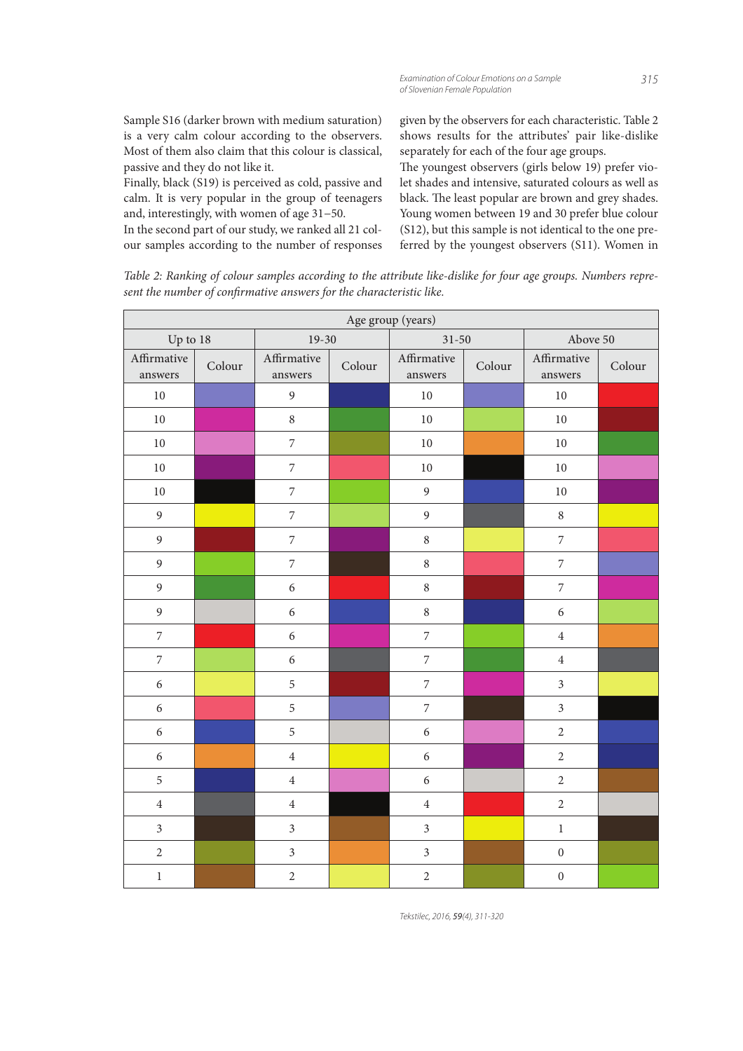Sample S16 (darker brown with medium saturation) is a very calm colour according to the observers. Most of them also claim that this colour is classical, passive and they do not like it.

Finally, black (S19) is perceived as cold, passive and calm. It is very popular in the group of teenagers and, interestingly, with women of age 31−50.

In the second part of our study, we ranked all 21 colour samples according to the number of responses given by the observers for each characteristic. Table 2 shows results for the attributes' pair like-dislike separately for each of the four age groups.

The youngest observers (girls below 19) prefer violet shades and intensive, saturated colours as well as black. The least popular are brown and grey shades. Young women between 19 and 30 prefer blue colour (S12), but this sample is not identical to the one preferred by the youngest observers (S11). Women in

Table 2: Ranking of colour samples according to the attribute like-dislike for four age groups. Numbers represent the number of confirmative answers for the characteristic like.

| Age group (years)      |        |                          |        |                          |        |                        |        |  |
|------------------------|--------|--------------------------|--------|--------------------------|--------|------------------------|--------|--|
| Up to 18               |        | $19-30$                  |        | $31 - 50$                |        | Above 50               |        |  |
| Affirmative<br>answers | Colour | Affirmative<br>answers   | Colour | Affirmative<br>answers   | Colour | Affirmative<br>answers | Colour |  |
| $10\,$                 |        | $\overline{9}$           |        | $10\,$                   |        | $10\,$                 |        |  |
| $10\,$                 |        | $\,8\,$                  |        | $10\,$                   |        | $10\,$                 |        |  |
| $10\,$                 |        | $\overline{7}$           |        | $10\,$                   |        | $10\,$                 |        |  |
| $10\,$                 |        | $\overline{7}$           |        | $10\,$                   |        | $10\,$                 |        |  |
| $10\,$                 |        | $\overline{7}$           |        | $\mathfrak{g}$           |        | $10\,$                 |        |  |
| $\mathfrak{g}$         |        | $\overline{\phantom{a}}$ |        | $\mathfrak{g}$           |        | $\,8\,$                |        |  |
| 9                      |        | $\boldsymbol{7}$         |        | $\,8\,$                  |        | $\overline{7}$         |        |  |
| $\overline{9}$         |        | $\overline{7}$           |        | $\,8\,$                  |        | $\boldsymbol{7}$       |        |  |
| 9                      |        | $\sqrt{6}$               |        | $\,8\,$                  |        | $\boldsymbol{7}$       |        |  |
| $\mathfrak{g}$         |        | $\sqrt{6}$               |        | $\,$ 8 $\,$              |        | $\sqrt{6}$             |        |  |
| $\overline{7}$         |        | 6                        |        | $\overline{7}$           |        | $\overline{4}$         |        |  |
| $\boldsymbol{7}$       |        | $\sqrt{6}$               |        | $\overline{\phantom{a}}$ |        | $\overline{4}$         |        |  |
| 6                      |        | 5                        |        | $\overline{7}$           |        | $\mathfrak{Z}$         |        |  |
| 6                      |        | 5                        |        | $\overline{\phantom{a}}$ |        | $\overline{3}$         |        |  |
| $\sqrt{6}$             |        | 5                        |        | $\sqrt{6}$               |        | $\sqrt{2}$             |        |  |
| 6                      |        | $\overline{4}$           |        | 6                        |        | $\sqrt{2}$             |        |  |
| 5                      |        | $\overline{4}$           |        | 6                        |        | $\overline{2}$         |        |  |
| $\,4$                  |        | $\,4\,$                  |        | $\,4\,$                  |        | $\overline{2}$         |        |  |
| $\overline{3}$         |        | $\overline{3}$           |        | $\mathfrak{Z}$           |        | $\,1$                  |        |  |
| $\sqrt{2}$             |        | $\mathfrak{Z}$           |        | $\mathfrak{Z}$           |        | $\boldsymbol{0}$       |        |  |
| $\,1$                  |        | $\overline{2}$           |        | $\sqrt{2}$               |        | $\boldsymbol{0}$       |        |  |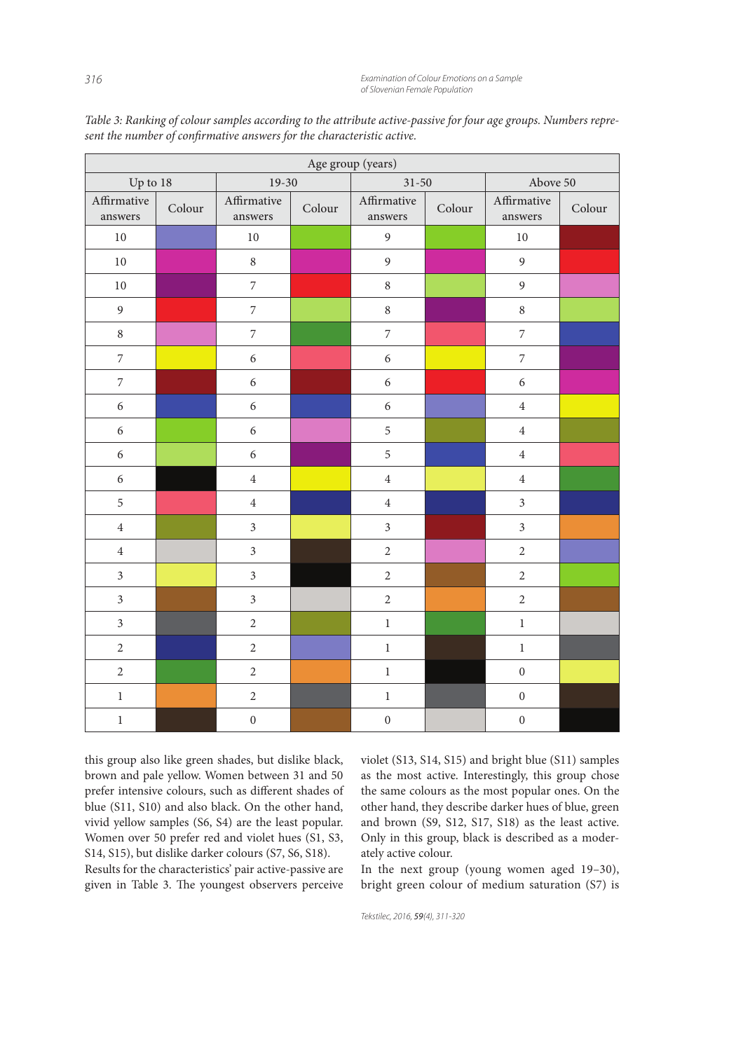| Age group (years)        |        |                        |        |                        |        |                        |        |  |
|--------------------------|--------|------------------------|--------|------------------------|--------|------------------------|--------|--|
| Up to $18$               |        | $19-30$                |        | $31 - 50$              |        | Above 50               |        |  |
| Affirmative<br>answers   | Colour | Affirmative<br>answers | Colour | Affirmative<br>answers | Colour | Affirmative<br>answers | Colour |  |
| $10\,$                   |        | $10\,$                 |        | $\boldsymbol{9}$       |        | $10\,$                 |        |  |
| $10\,$                   |        | $\,8\,$                |        | $\overline{9}$         |        | 9                      |        |  |
| $10\,$                   |        | $\overline{7}$         |        | $\,8\,$                |        | 9                      |        |  |
| $\mathbf{9}$             |        | $\boldsymbol{7}$       |        | $\,8\,$                |        | $\,8\,$                |        |  |
| $\,8\,$                  |        | $\overline{7}$         |        | $\overline{7}$         |        | $\overline{7}$         |        |  |
| $\overline{\phantom{a}}$ |        | $\sqrt{6}$             |        | $\sqrt{6}$             |        | $\overline{7}$         |        |  |
| $\overline{7}$           |        | $\sqrt{6}$             |        | $\sqrt{6}$             |        | $\sqrt{6}$             |        |  |
| $\sqrt{6}$               |        | $\sqrt{6}$             |        | $\sqrt{6}$             |        | $\,4\,$                |        |  |
| $\sqrt{6}$               |        | $\sqrt{6}$             |        | 5                      |        | $\overline{4}$         |        |  |
| $\boldsymbol{6}$         |        | $\sqrt{6}$             |        | 5                      |        | $\,4\,$                |        |  |
| $\sqrt{6}$               |        | $\overline{4}$         |        | $\overline{4}$         |        | $\overline{4}$         |        |  |
| 5                        |        | $\overline{4}$         |        | $\overline{4}$         |        | $\overline{3}$         |        |  |
| $\sqrt{4}$               |        | $\overline{3}$         |        | $\mathfrak{Z}$         |        | $\mathfrak{Z}$         |        |  |
| $\,4\,$                  |        | $\mathfrak{Z}$         |        | $\sqrt{2}$             |        | $\sqrt{2}$             |        |  |
| $\mathfrak{Z}$           |        | $\mathfrak{Z}$         |        | $\sqrt{2}$             |        | $\overline{2}$         |        |  |
| $\overline{3}$           |        | $\mathfrak{Z}$         |        | $\sqrt{2}$             |        | $\sqrt{2}$             |        |  |
| $\mathfrak{Z}$           |        | $\sqrt{2}$             |        | $\,1$                  |        | $\,1$                  |        |  |
| $\sqrt{2}$               |        | $\sqrt{2}$             |        | $\,1\,$                |        | $\,1$                  |        |  |
| $\sqrt{2}$               |        | $\sqrt{2}$             |        | $\,1$                  |        | $\boldsymbol{0}$       |        |  |
| $\,1$                    |        | $\sqrt{2}$             |        | $\,1$                  |        | $\boldsymbol{0}$       |        |  |
| $\,1$                    |        | $\boldsymbol{0}$       |        | $\boldsymbol{0}$       |        | $\boldsymbol{0}$       |        |  |

Table 3: Ranking of colour samples according to the attribute active-passive for four age groups. Numbers represent the number of confirmative answers for the characteristic active.

this group also like green shades, but dislike black, brown and pale yellow. Women between 31 and 50 prefer intensive colours, such as different shades of blue (S11, S10) and also black. On the other hand, vivid yellow samples (S6, S4) are the least popular. Women over 50 prefer red and violet hues (S1, S3, S14, S15), but dislike darker colours (S7, S6, S18).

Results for the characteristics' pair active-passive are given in Table 3. The youngest observers perceive violet (S13, S14, S15) and bright blue (S11) samples as the most active. Interestingly, this group chose the same colours as the most popular ones. On the other hand, they describe darker hues of blue, green and brown (S9, S12, S17, S18) as the least active. Only in this group, black is described as a moderately active colour.

In the next group (young women aged 19–30), bright green colour of medium saturation (S7) is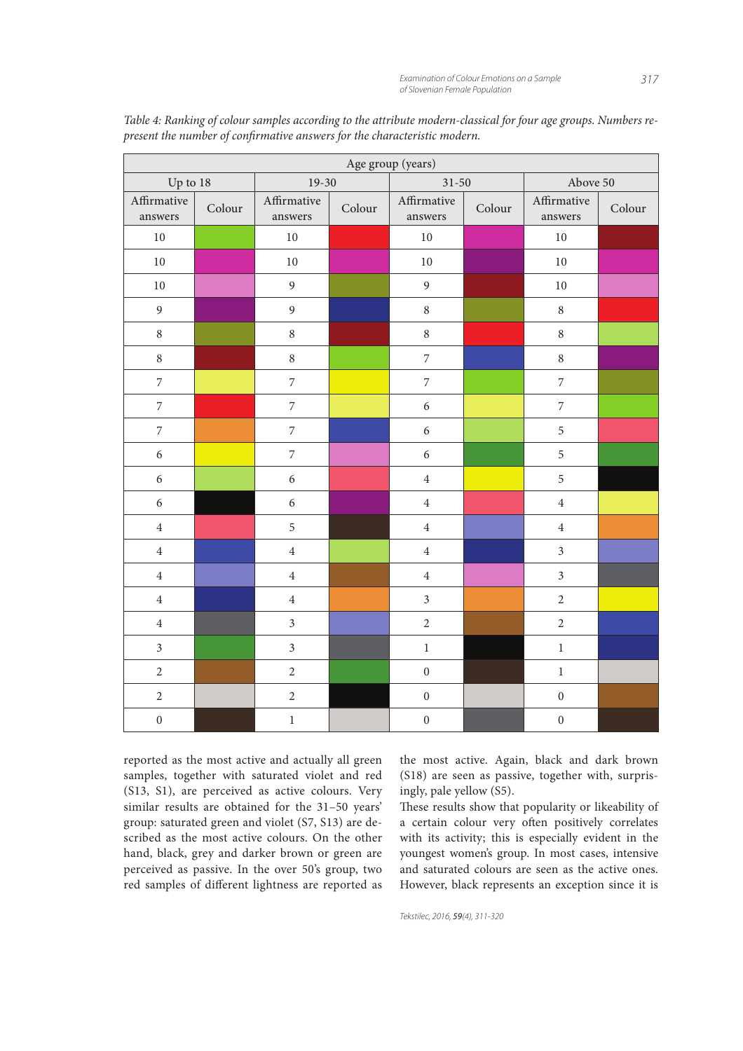| Age group (years)        |        |                          |        |                          |        |                         |        |  |
|--------------------------|--------|--------------------------|--------|--------------------------|--------|-------------------------|--------|--|
| Up to $18$               |        | $19-30$                  |        | $31 - 50$                |        | Above 50                |        |  |
| Affirmative<br>answers   | Colour | Affirmative<br>answers   | Colour | Affirmative<br>answers   | Colour | Affirmative<br>answers  | Colour |  |
| $10\,$                   |        | $10\,$                   |        | $10\,$                   |        | $10\,$                  |        |  |
| $10\,$                   |        | $10\,$                   |        | 10                       |        | $10\,$                  |        |  |
| $10\,$                   |        | $\overline{9}$           |        | $\mathfrak{g}$           |        | $10\,$                  |        |  |
| 9                        |        | 9                        |        | $\,8\,$                  |        | $\,8\,$                 |        |  |
| $\,8\,$                  |        | $\,8\,$                  |        | $\,8\,$                  |        | $\,8\,$                 |        |  |
| $\,8\,$                  |        | $\,8\,$                  |        | $\boldsymbol{7}$         |        | $\,8\,$                 |        |  |
| $\overline{7}$           |        | $\overline{7}$           |        | $\overline{\mathcal{I}}$ |        | $\overline{7}$          |        |  |
| $\boldsymbol{7}$         |        | $\overline{7}$           |        | 6                        |        | $\overline{7}$          |        |  |
| $\overline{\phantom{a}}$ |        | $\overline{7}$           |        | 6                        |        | 5                       |        |  |
| $\epsilon$               |        | $\overline{\phantom{a}}$ |        | 6                        |        | 5                       |        |  |
| 6                        |        | $\sqrt{6}$               |        | $\,4$                    |        | 5                       |        |  |
| 6                        |        | $\sqrt{6}$               |        | $\bf 4$                  |        | $\overline{\mathbf{4}}$ |        |  |
| $\,4\,$                  |        | 5                        |        | $\bf 4$                  |        | $\overline{4}$          |        |  |
| $\bf 4$                  |        | $\bf 4$                  |        | $\bf 4$                  |        | $\overline{3}$          |        |  |
| $\sqrt{4}$               |        | $\overline{4}$           |        | $\overline{4}$           |        | $\overline{3}$          |        |  |
| $\bf 4$                  |        | $\bf 4$                  |        | $\mathfrak{Z}$           |        | $\sqrt{2}$              |        |  |
| $\sqrt{4}$               |        | $\mathfrak{Z}$           |        | $\sqrt{2}$               |        | $\overline{2}$          |        |  |
| $\overline{3}$           |        | $\mathfrak{Z}$           |        | $\,1\,$                  |        | $\,1$                   |        |  |
| $\overline{2}$           |        | $\overline{2}$           |        | $\boldsymbol{0}$         |        | $\,1$                   |        |  |
| $\sqrt{2}$               |        | $\sqrt{2}$               |        | $\boldsymbol{0}$         |        | $\boldsymbol{0}$        |        |  |
| $\boldsymbol{0}$         |        | $\,1$                    |        | $\boldsymbol{0}$         |        | $\boldsymbol{0}$        |        |  |

Table 4: Ranking of colour samples according to the attribute modern-classical for four age groups. Numbers represent the number of confirmative answers for the characteristic modern.

reported as the most active and actually all green samples, together with saturated violet and red (S13, S1), are perceived as active colours. Very similar results are obtained for the 31–50 years' group: saturated green and violet (S7, S13) are described as the most active colours. On the other hand, black, grey and darker brown or green are perceived as passive. In the over 50's group, two red samples of different lightness are reported as the most active. Again, black and dark brown (S18) are seen as passive, together with, surprisingly, pale yellow (S5).

These results show that popularity or likeability of a certain colour very often positively correlates with its activity; this is especially evident in the youngest women's group. In most cases, intensive and saturated colours are seen as the active ones. However, black represents an exception since it is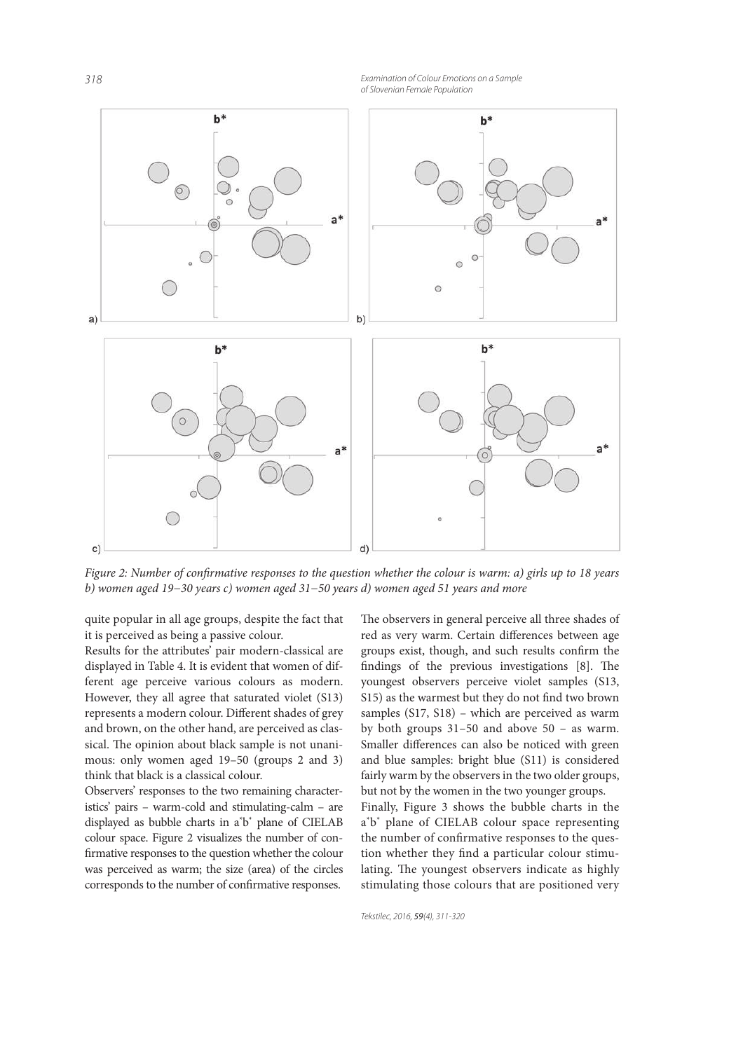*318 Examination of Colour Emotions on a Sample of Slovenian Female Population*



Figure 2: Number of confirmative responses to the question whether the colour is warm: a) girls up to 18 years b) women aged 19−30 years c) women aged 31−50 years d) women aged 51 years and more

quite popular in all age groups, despite the fact that it is perceived as being a passive colour.

Results for the attributes' pair modern-classical are displayed in Table 4. It is evident that women of different age perceive various colours as modern. However, they all agree that saturated violet (S13) represents a modern colour. Different shades of grey and brown, on the other hand, are perceived as classical. The opinion about black sample is not unanimous: only women aged 19–50 (groups 2 and 3) think that black is a classical colour.

Observers' responses to the two remaining characteristics' pairs – warm-cold and stimulating-calm – are displayed as bubble charts in a<sup>\*</sup>b<sup>\*</sup> plane of CIELAB colour space. Figure 2 visualizes the number of con firmative responses to the question whether the colour was perceived as warm; the size (area) of the circles corresponds to the number of confirmative responses.

The observers in general perceive all three shades of red as very warm. Certain differences between age groups exist, though, and such results confirm the findings of the previous investigations  $[8]$ . The youngest observers perceive violet samples (S13, S15) as the warmest but they do not find two brown samples (S17, S18) – which are perceived as warm by both groups 31–50 and above 50 – as warm. Smaller differences can also be noticed with green and blue samples: bright blue (S11) is considered fairly warm by the observers in the two older groups, but not by the women in the two younger groups.

Finally, Figure 3 shows the bubble charts in the a<sup>\*b\*</sup> plane of CIELAB colour space representing the number of confirmative responses to the question whether they find a particular colour stimulating. The youngest observers indicate as highly stimulating those colours that are positioned very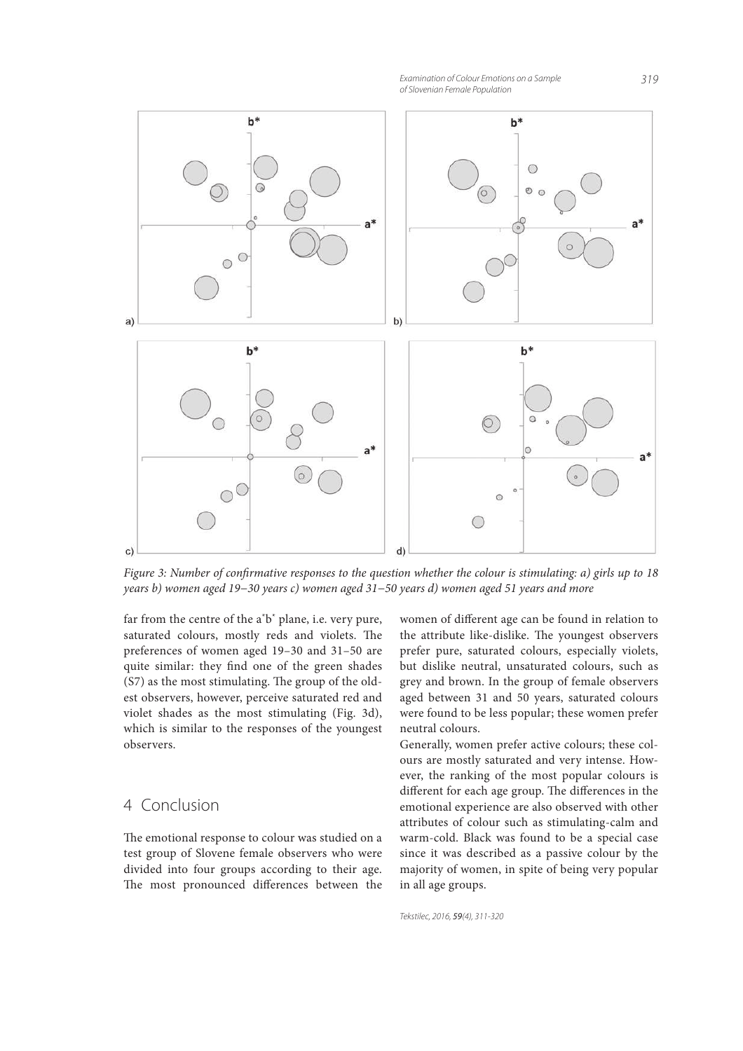*Examination of Colour Emotions on a Sample 319 of Slovenian Female Population*



Figure 3: Number of confirmative responses to the question whether the colour is stimulating: a) girls up to 18 years b) women aged 19−30 years c) women aged 31−50 years d) women aged 51 years and more

far from the centre of the a<sup>\*</sup>b<sup>\*</sup> plane, i.e. very pure, saturated colours, mostly reds and violets. The preferences of women aged 19–30 and 31–50 are quite similar: they find one of the green shades  $(S7)$  as the most stimulating. The group of the oldest observers, however, perceive saturated red and violet shades as the most stimulating (Fig. 3d), which is similar to the responses of the youngest observers.

# 4 Conclusion

The emotional response to colour was studied on a test group of Slovene female observers who were divided into four groups according to their age. The most pronounced differences between the

women of different age can be found in relation to the attribute like-dislike. The youngest observers prefer pure, saturated colours, especially violets, but dislike neutral, unsaturated colours, such as grey and brown. In the group of female observers aged between 31 and 50 years, saturated colours were found to be less popular; these women prefer neutral colours.

Generally, women prefer active colours; these colours are mostly saturated and very intense. However, the ranking of the most popular colours is different for each age group. The differences in the emotional experience are also observed with other attributes of colour such as stimulating-calm and warm-cold. Black was found to be a special case since it was described as a passive colour by the majority of women, in spite of being very popular in all age groups.